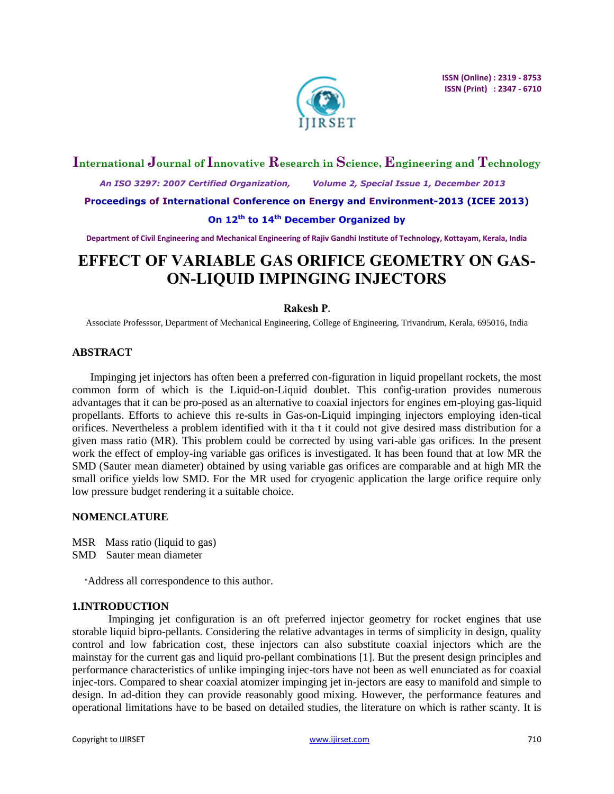

# **International Journal of Innovative Research in Science, Engineering and Technology**

 *An ISO 3297: 2007 Certified Organization, Volume 2, Special Issue 1, December 2013*

**Proceedings of International Conference on Energy and Environment-2013 (ICEE 2013)**

# **On 12th to 14th December Organized by**

**Department of Civil Engineering and Mechanical Engineering of Rajiv Gandhi Institute of Technology, Kottayam, Kerala, India**

# **EFFECT OF VARIABLE GAS ORIFICE GEOMETRY ON GAS-ON-LIQUID IMPINGING INJECTORS**

# **Rakesh P.**

Associate Professsor, Department of Mechanical Engineering, College of Engineering, Trivandrum, Kerala, 695016, India

## **ABSTRACT**

Impinging jet injectors has often been a preferred con-figuration in liquid propellant rockets, the most common form of which is the Liquid-on-Liquid doublet. This config-uration provides numerous advantages that it can be pro-posed as an alternative to coaxial injectors for engines em-ploying gas-liquid propellants. Efforts to achieve this re-sults in Gas-on-Liquid impinging injectors employing iden-tical orifices. Nevertheless a problem identified with it tha t it could not give desired mass distribution for a given mass ratio (MR). This problem could be corrected by using vari-able gas orifices. In the present work the effect of employ-ing variable gas orifices is investigated. It has been found that at low MR the SMD (Sauter mean diameter) obtained by using variable gas orifices are comparable and at high MR the small orifice yields low SMD. For the MR used for cryogenic application the large orifice require only low pressure budget rendering it a suitable choice.

#### **NOMENCLATURE**

- MSR Mass ratio (liquid to gas)
- SMD Sauter mean diameter

<sup>∗</sup>Address all correspondence to this author.

#### **1.INTRODUCTION**

Impinging jet configuration is an oft preferred injector geometry for rocket engines that use storable liquid bipro-pellants. Considering the relative advantages in terms of simplicity in design, quality control and low fabrication cost, these injectors can also substitute coaxial injectors which are the mainstay for the current gas and liquid pro-pellant combinations [1]. But the present design principles and performance characteristics of unlike impinging injec-tors have not been as well enunciated as for coaxial injec-tors. Compared to shear coaxial atomizer impinging jet in-jectors are easy to manifold and simple to design. In ad-dition they can provide reasonably good mixing. However, the performance features and operational limitations have to be based on detailed studies, the literature on which is rather scanty. It is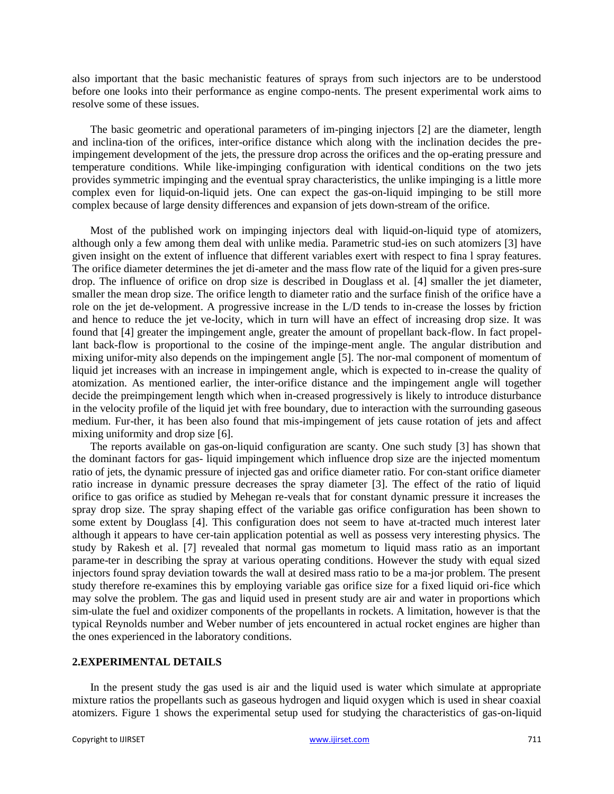also important that the basic mechanistic features of sprays from such injectors are to be understood before one looks into their performance as engine compo-nents. The present experimental work aims to resolve some of these issues.

The basic geometric and operational parameters of im-pinging injectors [2] are the diameter, length and inclina-tion of the orifices, inter-orifice distance which along with the inclination decides the preimpingement development of the jets, the pressure drop across the orifices and the op-erating pressure and temperature conditions. While like-impinging configuration with identical conditions on the two jets provides symmetric impinging and the eventual spray characteristics, the unlike impinging is a little more complex even for liquid-on-liquid jets. One can expect the gas-on-liquid impinging to be still more complex because of large density differences and expansion of jets down-stream of the orifice.

Most of the published work on impinging injectors deal with liquid-on-liquid type of atomizers, although only a few among them deal with unlike media. Parametric stud-ies on such atomizers [3] have given insight on the extent of influence that different variables exert with respect to fina l spray features. The orifice diameter determines the jet di-ameter and the mass flow rate of the liquid for a given pres-sure drop. The influence of orifice on drop size is described in Douglass et al. [4] smaller the jet diameter, smaller the mean drop size. The orifice length to diameter ratio and the surface finish of the orifice have a role on the jet de-velopment. A progressive increase in the L/D tends to in-crease the losses by friction and hence to reduce the jet ve-locity, which in turn will have an effect of increasing drop size. It was found that [4] greater the impingement angle, greater the amount of propellant back-flow. In fact propellant back-flow is proportional to the cosine of the impinge-ment angle. The angular distribution and mixing unifor-mity also depends on the impingement angle [5]. The nor-mal component of momentum of liquid jet increases with an increase in impingement angle, which is expected to in-crease the quality of atomization. As mentioned earlier, the inter-orifice distance and the impingement angle will together decide the preimpingement length which when in-creased progressively is likely to introduce disturbance in the velocity profile of the liquid jet with free boundary, due to interaction with the surrounding gaseous medium. Fur-ther, it has been also found that mis-impingement of jets cause rotation of jets and affect mixing uniformity and drop size [6].

The reports available on gas-on-liquid configuration are scanty. One such study [3] has shown that the dominant factors for gas- liquid impingement which influence drop size are the injected momentum ratio of jets, the dynamic pressure of injected gas and orifice diameter ratio. For con-stant orifice diameter ratio increase in dynamic pressure decreases the spray diameter [3]. The effect of the ratio of liquid orifice to gas orifice as studied by Mehegan re-veals that for constant dynamic pressure it increases the spray drop size. The spray shaping effect of the variable gas orifice configuration has been shown to some extent by Douglass [4]. This configuration does not seem to have at-tracted much interest later although it appears to have cer-tain application potential as well as possess very interesting physics. The study by Rakesh et al. [7] revealed that normal gas mometum to liquid mass ratio as an important parame-ter in describing the spray at various operating conditions. However the study with equal sized injectors found spray deviation towards the wall at desired mass ratio to be a ma-jor problem. The present study therefore re-examines this by employing variable gas orifice size for a fixed liquid ori-fice which may solve the problem. The gas and liquid used in present study are air and water in proportions which sim-ulate the fuel and oxidizer components of the propellants in rockets. A limitation, however is that the typical Reynolds number and Weber number of jets encountered in actual rocket engines are higher than the ones experienced in the laboratory conditions.

### **2.EXPERIMENTAL DETAILS**

In the present study the gas used is air and the liquid used is water which simulate at appropriate mixture ratios the propellants such as gaseous hydrogen and liquid oxygen which is used in shear coaxial atomizers. Figure 1 shows the experimental setup used for studying the characteristics of gas-on-liquid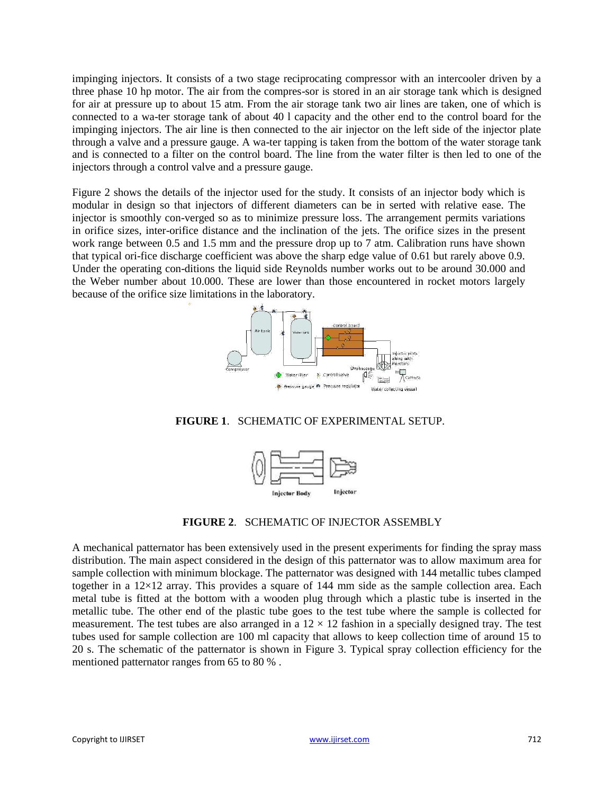impinging injectors. It consists of a two stage reciprocating compressor with an intercooler driven by a three phase 10 hp motor. The air from the compres-sor is stored in an air storage tank which is designed for air at pressure up to about 15 atm. From the air storage tank two air lines are taken, one of which is connected to a wa-ter storage tank of about 40 l capacity and the other end to the control board for the impinging injectors. The air line is then connected to the air injector on the left side of the injector plate through a valve and a pressure gauge. A wa-ter tapping is taken from the bottom of the water storage tank and is connected to a filter on the control board. The line from the water filter is then led to one of the injectors through a control valve and a pressure gauge.

Figure 2 shows the details of the injector used for the study. It consists of an injector body which is modular in design so that injectors of different diameters can be in serted with relative ease. The injector is smoothly con-verged so as to minimize pressure loss. The arrangement permits variations in orifice sizes, inter-orifice distance and the inclination of the jets. The orifice sizes in the present work range between 0.5 and 1.5 mm and the pressure drop up to 7 atm. Calibration runs have shown that typical ori-fice discharge coefficient was above the sharp edge value of 0.61 but rarely above 0.9. Under the operating con-ditions the liquid side Reynolds number works out to be around 30.000 and the Weber number about 10.000. These are lower than those encountered in rocket motors largely because of the orifice size limitations in the laboratory.



**FIGURE 1**. SCHEMATIC OF EXPERIMENTAL SETUP.



**FIGURE 2**. SCHEMATIC OF INJECTOR ASSEMBLY

A mechanical patternator has been extensively used in the present experiments for finding the spray mass distribution. The main aspect considered in the design of this patternator was to allow maximum area for sample collection with minimum blockage. The patternator was designed with 144 metallic tubes clamped together in a 12×12 array. This provides a square of 144 mm side as the sample collection area. Each metal tube is fitted at the bottom with a wooden plug through which a plastic tube is inserted in the metallic tube. The other end of the plastic tube goes to the test tube where the sample is collected for measurement. The test tubes are also arranged in a  $12 \times 12$  fashion in a specially designed tray. The test tubes used for sample collection are 100 ml capacity that allows to keep collection time of around 15 to 20 s. The schematic of the patternator is shown in Figure 3. Typical spray collection efficiency for the mentioned patternator ranges from 65 to 80 % .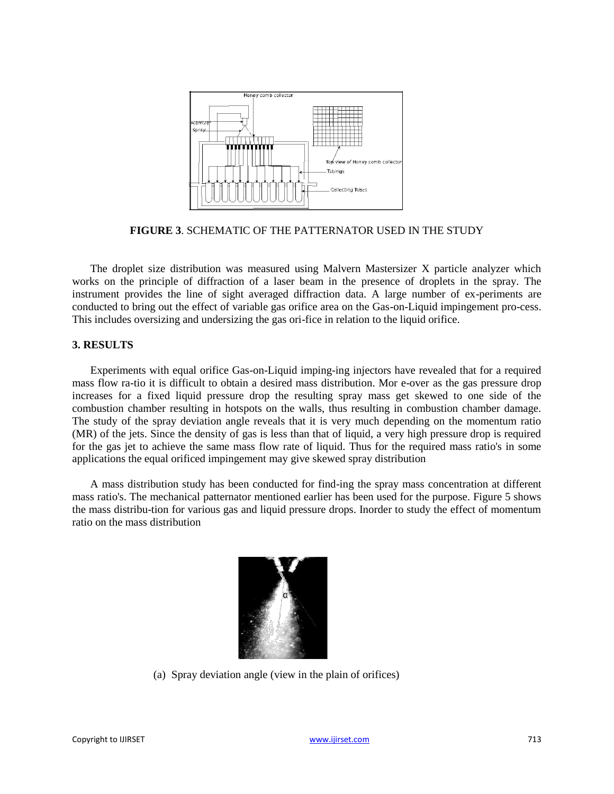

**FIGURE 3**. SCHEMATIC OF THE PATTERNATOR USED IN THE STUDY

The droplet size distribution was measured using Malvern Mastersizer X particle analyzer which works on the principle of diffraction of a laser beam in the presence of droplets in the spray. The instrument provides the line of sight averaged diffraction data. A large number of ex-periments are conducted to bring out the effect of variable gas orifice area on the Gas-on-Liquid impingement pro-cess. This includes oversizing and undersizing the gas ori-fice in relation to the liquid orifice.

#### **3. RESULTS**

Experiments with equal orifice Gas-on-Liquid imping-ing injectors have revealed that for a required mass flow ra-tio it is difficult to obtain a desired mass distribution. Mor e-over as the gas pressure drop increases for a fixed liquid pressure drop the resulting spray mass get skewed to one side of the combustion chamber resulting in hotspots on the walls, thus resulting in combustion chamber damage. The study of the spray deviation angle reveals that it is very much depending on the momentum ratio (MR) of the jets. Since the density of gas is less than that of liquid, a very high pressure drop is required for the gas jet to achieve the same mass flow rate of liquid. Thus for the required mass ratio's in some applications the equal orificed impingement may give skewed spray distribution

A mass distribution study has been conducted for find-ing the spray mass concentration at different mass ratio's. The mechanical patternator mentioned earlier has been used for the purpose. Figure 5 shows the mass distribu-tion for various gas and liquid pressure drops. Inorder to study the effect of momentum ratio on the mass distribution



(a) Spray deviation angle (view in the plain of orifices)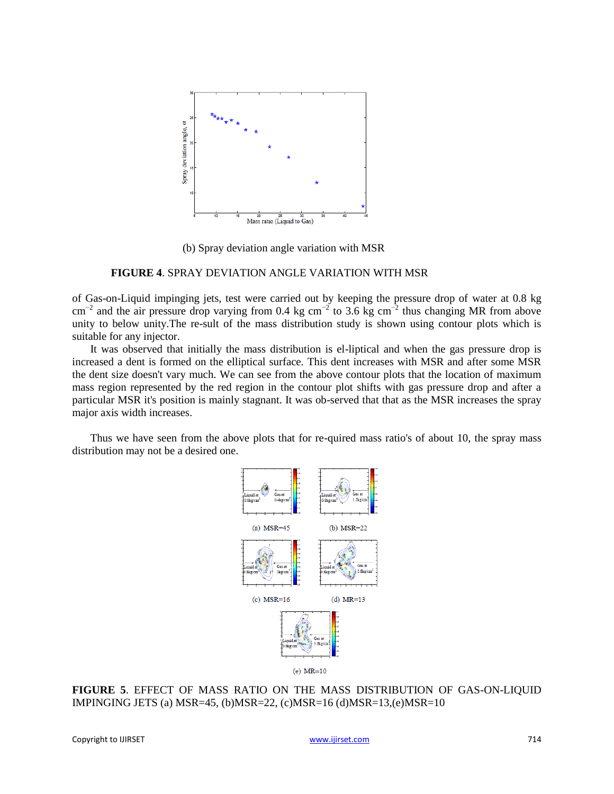

(b) Spray deviation angle variation with MSR

#### **FIGURE 4**. SPRAY DEVIATION ANGLE VARIATION WITH MSR

of Gas-on-Liquid impinging jets, test were carried out by keeping the pressure drop of water at 0.8 kg  $\text{cm}^{-2}$  and the air pressure drop varying from 0.4 kg cm<sup>-2</sup> to 3.6 kg cm<sup>-2</sup> thus changing MR from above unity to below unity.The re-sult of the mass distribution study is shown using contour plots which is suitable for any injector.

It was observed that initially the mass distribution is el-liptical and when the gas pressure drop is increased a dent is formed on the elliptical surface. This dent increases with MSR and after some MSR the dent size doesn't vary much. We can see from the above contour plots that the location of maximum mass region represented by the red region in the contour plot shifts with gas pressure drop and after a particular MSR it's position is mainly stagnant. It was ob-served that that as the MSR increases the spray major axis width increases.

Thus we have seen from the above plots that for re-quired mass ratio's of about 10, the spray mass distribution may not be a desired one.



**FIGURE 5**. EFFECT OF MASS RATIO ON THE MASS DISTRIBUTION OF GAS-ON-LIQUID IMPINGING JETS (a) MSR=45, (b)MSR=22, (c)MSR=16 (d)MSR=13,(e)MSR=10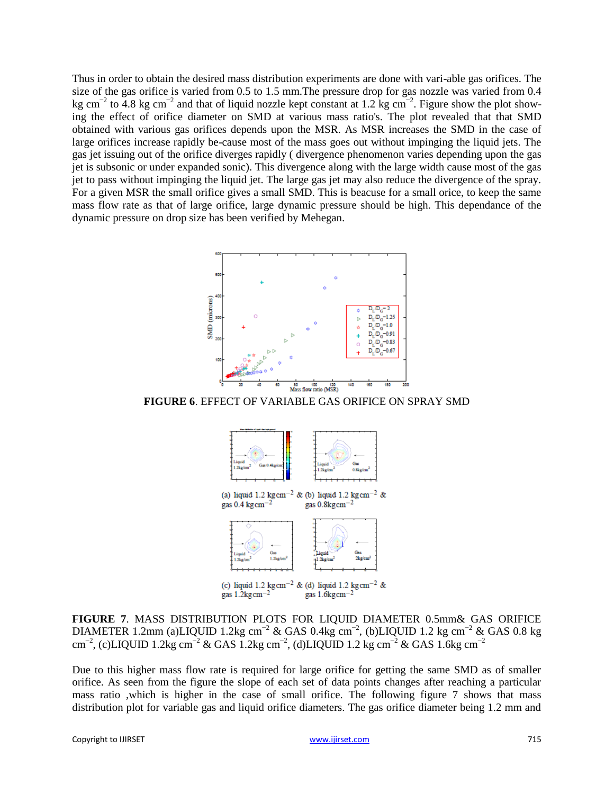Thus in order to obtain the desired mass distribution experiments are done with vari-able gas orifices. The size of the gas orifice is varied from 0.5 to 1.5 mm.The pressure drop for gas nozzle was varied from 0.4 kg cm<sup>-2</sup> to 4.8 kg cm<sup>-2</sup> and that of liquid nozzle kept constant at 1.2 kg cm<sup>-2</sup>. Figure show the plot showing the effect of orifice diameter on SMD at various mass ratio's. The plot revealed that that SMD obtained with various gas orifices depends upon the MSR. As MSR increases the SMD in the case of large orifices increase rapidly be-cause most of the mass goes out without impinging the liquid jets. The gas jet issuing out of the orifice diverges rapidly ( divergence phenomenon varies depending upon the gas jet is subsonic or under expanded sonic). This divergence along with the large width cause most of the gas jet to pass without impinging the liquid jet. The large gas jet may also reduce the divergence of the spray. For a given MSR the small orifice gives a small SMD. This is beacuse for a small orice, to keep the same mass flow rate as that of large orifice, large dynamic pressure should be high. This dependance of the dynamic pressure on drop size has been verified by Mehegan.



(a) liquid 1.2 kg cm<sup>-2</sup> & (b) liquid 1.2 kg cm<sup>-2</sup> & gas  $0.4 \text{ kg cm}^{-2}$ gas  $0.8$ kg $cm^{-2}$ 



(c) liquid 1.2 kg cm<sup>-2</sup> & (d) liquid 1.2 kg cm<sup>-2</sup> & gas  $1.2$ kg cm $^{-2}$ gas  $1.6$ kg $cm^{-2}$ 

**FIGURE 7**. MASS DISTRIBUTION PLOTS FOR LIQUID DIAMETER 0.5mm& GAS ORIFICE DIAMETER 1.2mm (a)LIQUID 1.2kg cm<sup>-2</sup> & GAS 0.4kg cm<sup>-2</sup>, (b)LIQUID 1.2 kg cm<sup>-2</sup> & GAS 0.8 kg  $\text{cm}^{-2}$ , (c)LIQUID 1.2kg cm<sup>-2</sup> & GAS 1.2kg cm<sup>-2</sup>, (d)LIQUID 1.2 kg cm<sup>-2</sup> & GAS 1.6kg cm<sup>-2</sup>

Due to this higher mass flow rate is required for large orifice for getting the same SMD as of smaller orifice. As seen from the figure the slope of each set of data points changes after reaching a particular mass ratio ,which is higher in the case of small orifice. The following figure 7 shows that mass distribution plot for variable gas and liquid orifice diameters. The gas orifice diameter being 1.2 mm and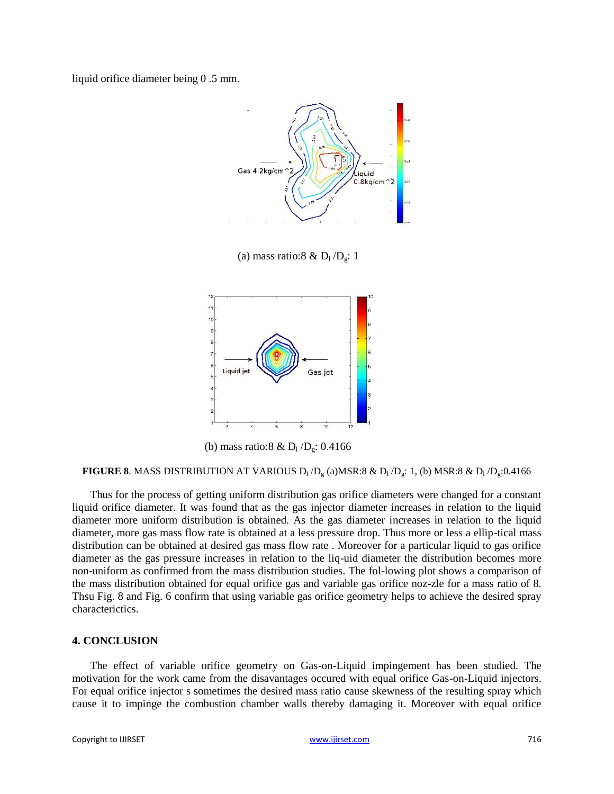liquid orifice diameter being 0 .5 mm.



(a) mass ratio:8 &  $D_1/D_g$ : 1



(b) mass ratio:8 &  $D_1/D_g$ : 0.4166

**FIGURE 8**. MASS DISTRIBUTION AT VARIOUS  $D_1/D_g$  (a)MSR:8 &  $D_1/D_g$ : 1, (b) MSR:8 &  $D_1/D_g$ :0.4166

Thus for the process of getting uniform distribution gas orifice diameters were changed for a constant liquid orifice diameter. It was found that as the gas injector diameter increases in relation to the liquid diameter more uniform distribution is obtained. As the gas diameter increases in relation to the liquid diameter, more gas mass flow rate is obtained at a less pressure drop. Thus more or less a ellip-tical mass distribution can be obtained at desired gas mass flow rate . Moreover for a particular liquid to gas orifice diameter as the gas pressure increases in relation to the liq-uid diameter the distribution becomes more non-uniform as confirmed from the mass distribution studies. The fol-lowing plot shows a comparison of the mass distribution obtained for equal orifice gas and variable gas orifice noz-zle for a mass ratio of 8. Thsu Fig. 8 and Fig. 6 confirm that using variable gas orifice geometry helps to achieve the desired spray characterictics.

#### **4. CONCLUSION**

The effect of variable orifice geometry on Gas-on-Liquid impingement has been studied. The motivation for the work came from the disavantages occured with equal orifice Gas-on-Liquid injectors. For equal orifice injector s sometimes the desired mass ratio cause skewness of the resulting spray which cause it to impinge the combustion chamber walls thereby damaging it. Moreover with equal orifice